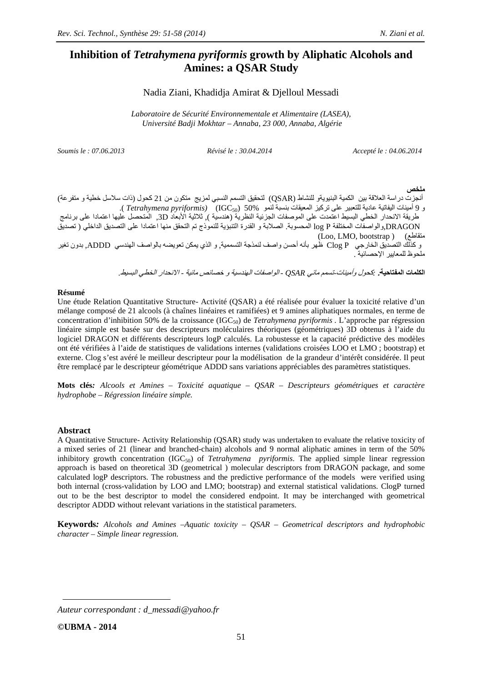# **Inhibition of** *Tetrahymena pyriformis* **growth by Aliphatic Alcohols and Amines: a QSAR Study**

# Nadia Ziani, Khadidja Amirat & Djelloul Messadi

*Laboratoire de Sécurité Environnementale et Alimentaire (LASEA), Université Badji Mokhtar – Annaba, 23 000, Annaba, Algérie*

*Soumis le : 07.06.2013 Révisé le : 30.04.2014 Accepté le : 04.06.2014* 

### **-**

أنجزت دراسة العلاقة بين الكمية البنيويةو للنشاط (QSAR) لتحقيق التسمم النسبي لمزيج متكون من 21 كحول (ذات سلاسل خطية و متفرعة) و 9 أمينات اليفاتية عادية للتعبير على تركيز المعيقات بنسبة لنمو %50 (IGC<sub>50</sub>) (*Tetrahymena pyriformis)*. طريقة الانحدار الخطي البسيط اعتمدت على الموصفات الجزئية النظرية (هندسية ), ثلاثية الأبعاد 3D. المتحصل عليها اعتمادا على برنامج DRAGON,والواصفات المختلفة log P المحسوبة. الصلابة و القدرة التنبؤية للنموذج تم التحقق منها اعتمادا على التصديق الداخلي ( تصديق (Loo, LMO, bootstrap ) (a س جمعية المستحدة ,حدث ,حدث ,حدث ,حدث ,<br>و كذلك التصديق الخارجي Clog P ظهر بأنه أحسن واصف لنمذجة التسممية, و الذي يمكن تعويضه بالواصف الهندسي ADDD, بدون تغير ملحوظ للمعابير الاحصيائية .

ا**لكلمات المفتاحية.** بكحول وأم*ينات تسمم مائي QSAR - الواصفات الهندسية و* خصائص *مائية - الان*حد*ار الخطي البسيط.* 

#### **Résumé**

Une étude Relation Quantitative Structure- Activité (QSAR) a été réalisée pour évaluer la toxicité relative d'un mélange composé de 21 alcools (à chaînes linéaires et ramifiées) et 9 amines aliphatiques normales, en terme de concentration d'inhibition 50% de la croissance (IGC<sub>50</sub>) de *Tetrahymena pyriformis* . L'approche par régression linéaire simple est basée sur des descripteurs moléculaires théoriques (géométriques) 3D obtenus à l'aide du logiciel DRAGON et différents descripteurs logP calculés. La robustesse et la capacité prédictive des modèles ont été vérifiées à l'aide de statistiques de validations internes (validations croisées LOO et LMO ; bootstrap) et externe. Clog s'est avéré le meilleur descripteur pour la modélisation de la grandeur d'intérêt considérée. Il peut être remplacé par le descripteur géométrique ADDD sans variations appréciables des paramètres statistiques.

**Mots clés***: Alcools et Amines – Toxicité aquatique – QSAR – Descripteurs géométriques et caractère hydrophobe – Régression linéaire simple.* 

#### **Abstract**

A Quantitative Structure- Activity Relationship (QSAR) study was undertaken to evaluate the relative toxicity of a mixed series of 21 (linear and branched-chain) alcohols and 9 normal aliphatic amines in term of the 50% inhibitory growth concentration  $(IGC_{50})$  of *Tetrahymena pyriformis*. The applied simple linear regression approach is based on theoretical 3D (geometrical ) molecular descriptors from DRAGON package, and some calculated logP descriptors. The robustness and the predictive performance of the models were verified using both internal (cross-validation by LOO and LMO; bootstrap) and external statistical validations. ClogP turned out to be the best descriptor to model the considered endpoint. It may be interchanged with geometrical descriptor ADDD without relevant variations in the statistical parameters.

**Keywords***: Alcohols and Amines –Aquatic toxicity – QSAR – Geometrical descriptors and hydrophobic character – Simple linear regression.* 

*Auteur correspondant : d\_messadi@yahoo.fr*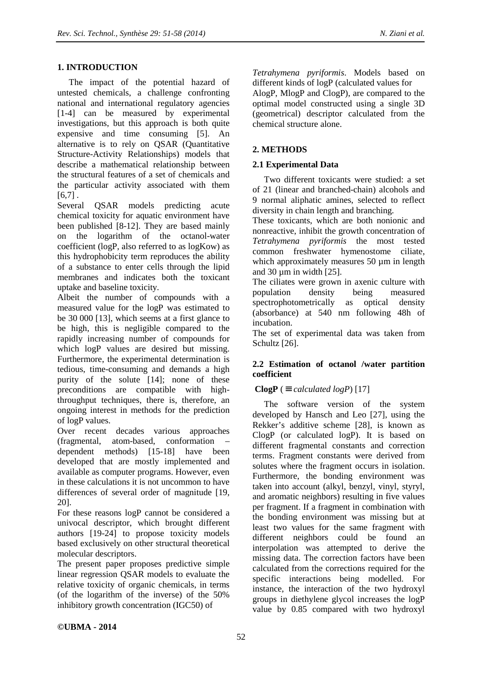# **1. INTRODUCTION**

The impact of the potential hazard of untested chemicals, a challenge confronting national and international regulatory agencies [1-4] can be measured by experimental investigations, but this approach is both quite expensive and time consuming [5]. An alternative is to rely on QSAR (Quantitative Structure-Activity Relationships) models that describe a mathematical relationship between the structural features of a set of chemicals and the particular activity associated with them  $[6,7]$ .

Several QSAR models predicting acute chemical toxicity for aquatic environment have been published [8-12]. They are based mainly on the logarithm of the octanol-water coefficient (logP, also referred to as logKow) as this hydrophobicity term reproduces the ability of a substance to enter cells through the lipid membranes and indicates both the toxicant uptake and baseline toxicity.

Albeit the number of compounds with a measured value for the logP was estimated to be 30 000 [13], which seems at a first glance to be high, this is negligible compared to the rapidly increasing number of compounds for which logP values are desired but missing. Furthermore, the experimental determination is tedious, time-consuming and demands a high purity of the solute [14]; none of these preconditions are compatible with highthroughput techniques, there is, therefore, an ongoing interest in methods for the prediction of logP values.

Over recent decades various approaches (fragmental, atom-based, conformation – dependent methods) [15-18] have been developed that are mostly implemented and available as computer programs. However, even in these calculations it is not uncommon to have differences of several order of magnitude [19, 20].

For these reasons logP cannot be considered a univocal descriptor, which brought different authors [19-24] to propose toxicity models based exclusively on other structural theoretical molecular descriptors.

The present paper proposes predictive simple linear regression QSAR models to evaluate the relative toxicity of organic chemicals, in terms (of the logarithm of the inverse) of the 50% inhibitory growth concentration (IGC50) of

*Tetrahymena pyriformis*. Models based on different kinds of logP (calculated values for AlogP, MlogP and ClogP), are compared to the optimal model constructed using a single 3D (geometrical) descriptor calculated from the chemical structure alone.

# **2. METHODS**

# **2.1 Experimental Data**

Two different toxicants were studied: a set of 21 (linear and branched-chain) alcohols and 9 normal aliphatic amines, selected to reflect diversity in chain length and branching.

These toxicants, which are both nonionic and nonreactive, inhibit the growth concentration of *Tetrahymena pyriformis* the most tested common freshwater hymenostome ciliate, which approximately measures 50  $\mu$ m in length and  $30 \text{ µm}$  in width  $[25]$ .

The ciliates were grown in axenic culture with population density being measured spectrophotometrically as optical density (absorbance) at 540 nm following 48h of incubation.

The set of experimental data was taken from Schultz [26].

# **2.2 Estimation of octanol /water partition coefficient**

# **ClogP** ( $\equiv$  *calculated logP*) [17]

The software version of the system developed by Hansch and Leo [27], using the Rekker's additive scheme [28], is known as ClogP (or calculated logP). It is based on different fragmental constants and correction terms. Fragment constants were derived from solutes where the fragment occurs in isolation. Furthermore, the bonding environment was taken into account (alkyl, benzyl, vinyl, styryl, and aromatic neighbors) resulting in five values per fragment. If a fragment in combination with the bonding environment was missing but at least two values for the same fragment with different neighbors could be found an interpolation was attempted to derive the missing data. The correction factors have been calculated from the corrections required for the specific interactions being modelled. For instance, the interaction of the two hydroxyl groups in diethylene glycol increases the logP value by 0.85 compared with two hydroxyl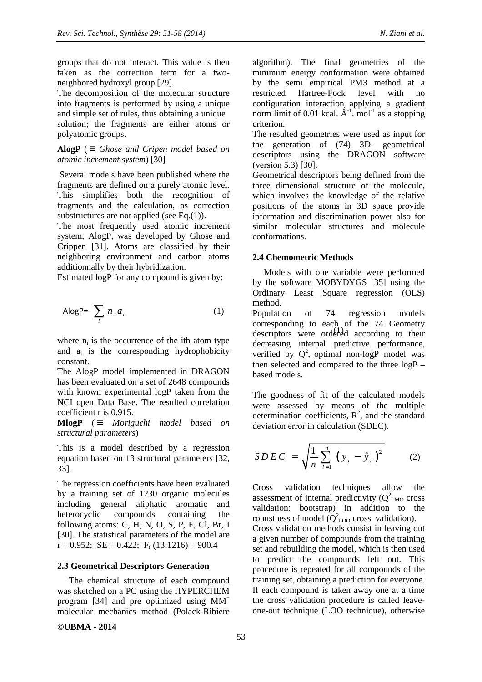groups that do not interact. This value is then taken as the correction term for a twoneighbored hydroxyl group [29].

The decomposition of the molecular structure into fragments is performed by using a unique and simple set of rules, thus obtaining a unique solution; the fragments are either atoms or polyatomic groups.

# **AlogP** ( $\equiv$  *Ghose and Cripen model based on atomic increment system*) [30]

 Several models have been published where the fragments are defined on a purely atomic level. This simplifies both the recognition of fragments and the calculation, as correction substructures are not applied (see Eq. $(1)$ ).

The most frequently used atomic increment system, AlogP, was developed by Ghose and Crippen [31]. Atoms are classified by their neighboring environment and carbon atoms additionnally by their hybridization.

Estimated logP for any compound is given by:

$$
A \log P = \sum_{i} n_i a_i \tag{1}
$$

where  $n_i$  is the occurrence of the ith atom type and  $a_i$  is the corresponding hydrophobicity constant.

The AlogP model implemented in DRAGON has been evaluated on a set of 2648 compounds with known experimental logP taken from the NCI open Data Base. The resulted correlation coefficient r is 0.915.

**MlogP** ( ≡ *Moriguchi model based on structural parameters*)

This is a model described by a regression equation based on 13 structural parameters [32, 33].

The regression coefficients have been evaluated by a training set of 1230 organic molecules including general aliphatic aromatic and heterocyclic compounds containing the following atoms: C, H, N, O, S, P, F, Cl, Br, I [30]. The statistical parameters of the model are  $r = 0.952$ ;  $SE = 0.422$ ;  $F<sub>0</sub>(13;1216) = 900.4$ 

### **2.3 Geometrical Descriptors Generation**

The chemical structure of each compound was sketched on a PC using the HYPERCHEM program [34] and pre optimized using  $MM^+$ molecular mechanics method (Polack-Ribiere

**©UBMA - 2014** 

algorithm). The final geometries of the minimum energy conformation were obtained by the semi empirical PM3 method at a restricted Hartree-Fock level with no configuration interaction applying a gradient norm limit of 0.01 kcal.  $\hat{A}^{-1}$ . mol<sup>-1</sup> as a stopping criterion.

The resulted geometries were used as input for the generation of (74) 3D- geometrical descriptors using the DRAGON software (version 5.3) [30].

Geometrical descriptors being defined from the three dimensional structure of the molecule, which involves the knowledge of the relative positions of the atoms in 3D space provide information and discrimination power also for similar molecular structures and molecule conformations.

# **2.4 Chemometric Methods**

Models with one variable were performed by the software MOBYDYGS [35] using the Ordinary Least Square regression (OLS) method.

descriptors were ordered according to their Population of 74 regression models corresponding to each of the 74 Geometry decreasing internal predictive performance, verified by  $Q^2$ , optimal non-logP model was then selected and compared to the three logP – based models.

The goodness of fit of the calculated models were assessed by means of the multiple determination coefficients,  $R^2$ , and the standard deviation error in calculation (SDEC).

$$
SDEC = \sqrt{\frac{1}{n} \sum_{i=1}^{n} (y_i - \hat{y}_i)^2}
$$
 (2)

Cross validation techniques allow the assessment of internal predictivity  $(Q<sup>2</sup><sub>LMO</sub>$  cross validation; bootstrap) in addition to the robustness of model  $(Q_{\text{LOO}}^2 \text{ cross validation}).$ Cross validation methods consist in leaving out a given number of compounds from the training set and rebuilding the model, which is then used to predict the compounds left out. This procedure is repeated for all compounds of the training set, obtaining a prediction for everyone. If each compound is taken away one at a time the cross validation procedure is called leaveone-out technique (LOO technique), otherwise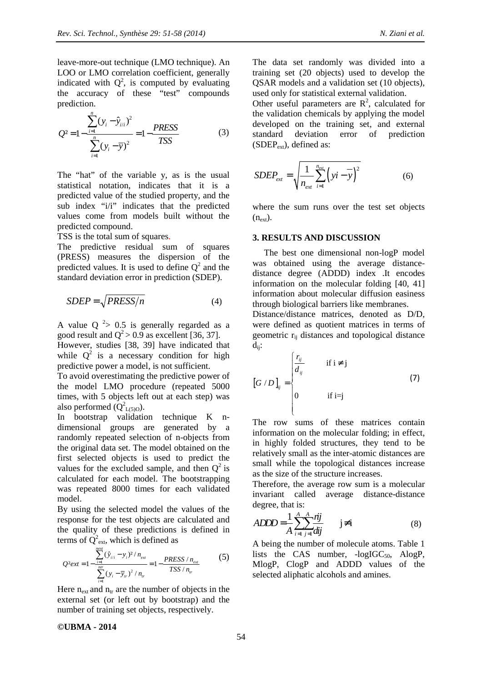leave-more-out technique (LMO technique). An LOO or LMO correlation coefficient, generally indicated with  $Q^2$ , is computed by evaluating the accuracy of these "test" compounds prediction.

$$
Q^{2} = 1 - \frac{\sum_{i=1}^{n} (y_{i} - \hat{y}_{i/i})^{2}}{\sum_{i=1}^{n} (y_{i} - \overline{y})^{2}} = 1 - \frac{PRESS}{TSS}
$$
(3)

The "hat" of the variable y, as is the usual statistical notation, indicates that it is a predicted value of the studied property, and the sub index "i/i" indicates that the predicted values come from models built without the predicted compound.

TSS is the total sum of squares.

The predictive residual sum of squares (PRESS) measures the dispersion of the predicted values. It is used to define  $Q^2$  and the standard deviation error in prediction (SDEP).

$$
SDEP = \sqrt{PRESS/n} \tag{4}
$$

A value  $Q^2 > 0.5$  is generally regarded as a good result and  $Q^2 > 0.9$  as excellent [36, 37].

However, studies [38, 39] have indicated that while  $Q^2$  is a necessary condition for high predictive power a model, is not sufficient.

To avoid overestimating the predictive power of the model LMO procedure (repeated 5000 times, with 5 objects left out at each step) was also performed  $(Q_{L(5)0}^2)$ .

In bootstrap validation technique K ndimensional groups are generated by a randomly repeated selection of n-objects from the original data set. The model obtained on the first selected objects is used to predict the values for the excluded sample, and then  $Q^2$  is calculated for each model. The bootstrapping was repeated 8000 times for each validated model.

By using the selected model the values of the response for the test objects are calculated and the quality of these predictions is defined in terms of  $Q^2_{ext}$ , which is defined as

$$
Q^{2}ext = 1 - \frac{\sum_{i=1}^{next} (\hat{y}_{i/i} - y_i)^2 / n_{ext}}{\sum_{i=1}^{ntr} (y_i - \overline{y}_r)^2 / n_r} = 1 - \frac{PRESS / n_{ext}}{TSS / n_r}
$$
(5)

Here  $n_{\text{ext}}$  and  $n_{\text{tr}}$  are the number of objects in the external set (or left out by bootstrap) and the number of training set objects, respectively.

The data set randomly was divided into a training set (20 objects) used to develop the QSAR models and a validation set (10 objects), used only for statistical external validation.

Other useful parameters are  $R^2$ , calculated for the validation chemicals by applying the model developed on the training set, and external standard deviation error of prediction  $(SDEP<sub>ext</sub>)$ , defined as:

$$
SDEP_{ext} = \sqrt{\frac{1}{n_{ext}} \sum_{i=1}^{n_{ext}} (yi - \overline{y})^2}
$$
 (6)

where the sum runs over the test set objects  $(n_{\text{ext}})$ .

### **3. RESULTS AND DISCUSSION**

The best one dimensional non-logP model was obtained using the average distancedistance degree (ADDD) index .It encodes information on the molecular folding [40, 41] information about molecular diffusion easiness through biological barriers like membranes.

Distance/distance matrices, denoted as D/D, were defined as quotient matrices in terms of geometric rij distances and topological distance dij:

$$
\begin{bmatrix} G/D \end{bmatrix}_{ij} = \begin{cases} \frac{r_{ij}}{d_{ij}} & \text{if } i \neq j \\ 0 & \text{if } i = j \end{cases} \tag{7}
$$

The row sums of these matrices contain information on the molecular folding; in effect, in highly folded structures, they tend to be relatively small as the inter-atomic distances are small while the topological distances increase as the size of the structure increases.

Therefore, the average row sum is a molecular invariant called average distance-distance degree, that is:

$$
ADDD = \frac{1}{A} \sum_{i=1}^{A} \sum_{j=1}^{A} \frac{rij}{dij} \qquad j \neq i \tag{8}
$$

A being the number of molecule atoms. Table 1 lists the CAS number,  $-logIGC_{50}$ ,  $AlogP$ , MlogP, ClogP and ADDD values of the selected aliphatic alcohols and amines.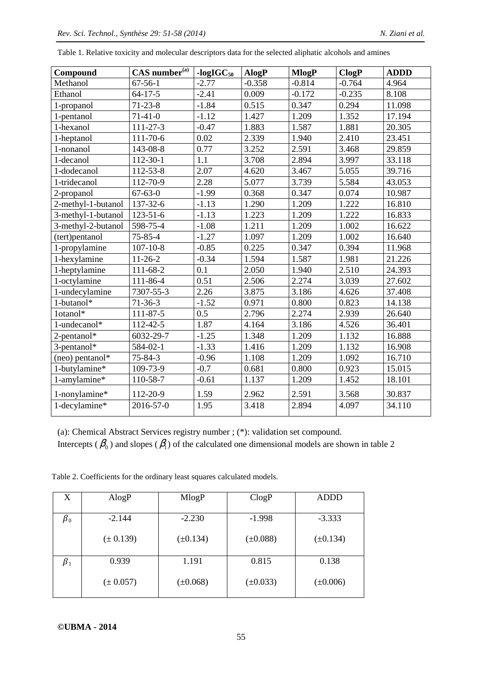| Compound           | $CAS$ number $(a)$ |         | AlogP    | <b>MlogP</b> | <b>ClogP</b> | <b>ADDD</b> |  |
|--------------------|--------------------|---------|----------|--------------|--------------|-------------|--|
| Methanol           | $67-56-1$          | $-2.77$ | $-0.358$ | $-0.814$     | $-0.764$     | 4.964       |  |
| Ethanol            | $64 - 17 - 5$      | $-2.41$ | 0.009    | $-0.172$     | $-0.235$     | 8.108       |  |
| 1-propanol         | $71 - 23 - 8$      | $-1.84$ | 0.515    | 0.347        | 0.294        | 11.098      |  |
| 1-pentanol         | $71-41-0$          | $-1.12$ | 1.427    | 1.209        | 1.352        | 17.194      |  |
| 1-hexanol          | $111 - 27 - 3$     | $-0.47$ | 1.883    | 1.587        | 1.881        | 20.305      |  |
| 1-heptanol         | $111 - 70 - 6$     | 0.02    | 2.339    | 1.940        | 2.410        | 23.451      |  |
| 1-nonanol          | 143-08-8           | 0.77    | 3.252    | 2.591        | 3.468        | 29.859      |  |
| 1-decanol          | 112-30-1           | 1.1     | 3.708    | 2.894        | 3.997        | 33.118      |  |
| 1-dodecanol        | $112 - 53 - 8$     | 2.07    | 4.620    | 3.467        | 5.055        | 39.716      |  |
| 1-tridecanol       | 112-70-9           | 2.28    | 5.077    | 3.739        | 5.584        | 43.053      |  |
| 2-propanol         | $67 - 63 - 0$      | $-1.99$ | 0.368    | 0.347        | 0.074        | 10.987      |  |
| 2-methyl-1-butanol | 137-32-6           | $-1.13$ | 1.290    | 1.209        | 1.222        | 16.810      |  |
| 3-methyl-1-butanol | $123 - 51 - 6$     | $-1.13$ | 1.223    | 1.209        | 1.222        | 16.833      |  |
| 3-methyl-2-butanol | 598-75-4           | $-1.08$ | 1.211    | 1.209        | 1.002        | 16.622      |  |
| (tert)pentanol     | $75 - 85 - 4$      | $-1.27$ | 1.097    | 1.209        | 1.002        | 16.640      |  |
| 1-propylamine      | $107 - 10 - 8$     | $-0.85$ | 0.225    | 0.347        | 0.394        | 11.968      |  |
| 1-hexylamine       | $11-26-2$          | $-0.34$ | 1.594    | 1.587        | 1.981        | 21.226      |  |
| 1-heptylamine      | 111-68-2           | 0.1     | 2.050    | 1.940        | 2.510        | 24.393      |  |
| 1-octylamine       | 111-86-4           | 0.51    | 2.506    | 2.274        | 3.039        | 27.602      |  |
| 1-undecylamine     | 7307-55-3          | 2.26    | 3.875    | 3.186        | 4.626        | 37.408      |  |
| 1-butanol*         | $71-36-3$          | $-1.52$ | 0.971    | 0.800        | 0.823        | 14.138      |  |
| 1otanol*           | 111-87-5           | 0.5     | 2.796    | 2.274        | 2.939        | 26.640      |  |
| 1-undecanol*       | 112-42-5           | 1.87    | 4.164    | 3.186        | 4.526        | 36.401      |  |
| 2-pentanol*        | 6032-29-7          | $-1.25$ | 1.348    | 1.209        | 1.132        | 16.888      |  |
| 3-pentanol*        | 584-02-1           | $-1.33$ | 1.416    | 1.209        | 1.132        | 16.908      |  |
| (neo) pentanol*    | $75 - 84 - 3$      | $-0.96$ | 1.108    | 1.209        | 1.092        | 16.710      |  |
| 1-butylamine*      | 109-73-9           | $-0.7$  | 0.681    | 0.800        | 0.923        | 15.015      |  |
| 1-amylamine*       | 110-58-7           | $-0.61$ | 1.137    | 1.209        | 1.452        | 18.101      |  |
| 1-nonylamine*      | 112-20-9           | 1.59    | 2.962    | 2.591        | 3.568        | 30.837      |  |
| 1-decylamine*      | 2016-57-0          | 1.95    | 3.418    | 2.894        | 4.097        | 34.110      |  |

Table 1. Relative toxicity and molecular descriptors data for the selected aliphatic alcohols and amines

(a): Chemical Abstract Services registry number ; (\*): validation set compound.

Intercepts ( $\beta_0$ ) and slopes ( $\beta_1$ ) of the calculated one dimensional models are shown in table 2

Table 2. Coefficients for the ordinary least squares calculated models.

| X               | $\rm{AlogP}$  | MlogP         | ClogP         | ADDD          |
|-----------------|---------------|---------------|---------------|---------------|
| $\pmb{\beta}_0$ | $-2.144$      | $-2.230$      | $-1.998$      | $-3.333$      |
|                 | $(\pm 0.139)$ | $(\pm 0.134)$ | $(\pm 0.088)$ | $(\pm 0.134)$ |
| $\beta_1$       | 0.939         | 1.191         | 0.815         | 0.138         |
|                 | $(\pm 0.057)$ | $(\pm 0.068)$ | $(\pm 0.033)$ | $(\pm 0.006)$ |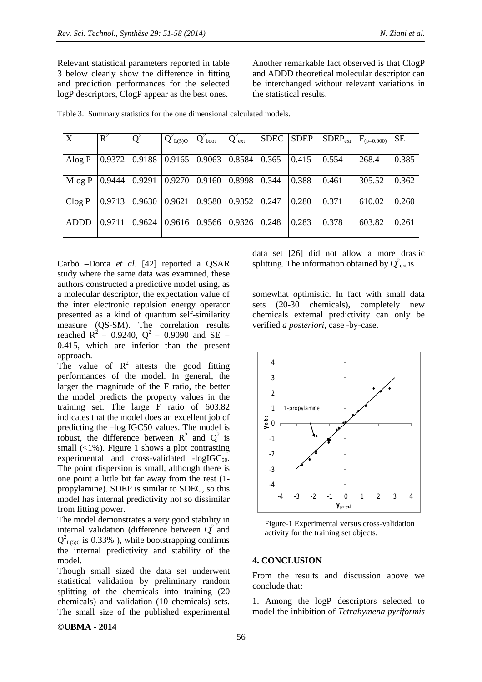Another remarkable fact observed is that ClogP and ADDD theoretical molecular descriptor can be interchanged without relevant variations in the statistical results.

| X           | $R^2$  | $Q^2$           | $Q^2_{L(5)O}$              | $Q^2_{\text{boot}}$ | $Q^2_{ext}$           | SDEC SDEP |       | $SDEP_{ext}$ | $F_{(p=0.000)}$ | <b>SE</b> |
|-------------|--------|-----------------|----------------------------|---------------------|-----------------------|-----------|-------|--------------|-----------------|-----------|
|             |        |                 |                            |                     |                       |           |       |              |                 |           |
| Alog $P$    |        |                 | $0.9372$   0.9188   0.9165 | 0.9063              | 0.8584                | 0.365     | 0.415 | 0.554        | 268.4           | 0.385     |
|             |        |                 |                            |                     |                       |           |       |              |                 |           |
| Mlog P      | 0.9444 | 0.9291          | 0.9270                     | 0.9160              | 0.8998                | 0.344     | 0.388 | 0.461        | 305.52          | 0.362     |
|             |        |                 |                            |                     |                       |           |       |              |                 |           |
| Clog P      | 0.9713 | $0.9630$ 0.9621 |                            | 0.9580              | $0.9352$ $\mid$ 0.247 |           | 0.280 | 0.371        | 610.02          | 0.260     |
|             |        |                 |                            |                     |                       |           |       |              |                 |           |
| <b>ADDD</b> | 0.9711 | 0.9624          | 0.9616                     | 0.9566              | 0.9326                | 0.248     | 0.283 | 0.378        | 603.82          | 0.261     |
|             |        |                 |                            |                     |                       |           |       |              |                 |           |

Table 3. Summary statistics for the one dimensional calculated models.

Carbö –Dorca *et al*. [42] reported a QSAR study where the same data was examined, these authors constructed a predictive model using, as a molecular descriptor, the expectation value of the inter electronic repulsion energy operator presented as a kind of quantum self-similarity measure (QS-SM). The correlation results reached  $R^2 = 0.9240$ ,  $Q^2 = 0.9090$  and SE = 0.415, which are inferior than the present approach.

The value of  $\mathbb{R}^2$  attests the good fitting performances of the model. In general, the larger the magnitude of the F ratio, the better the model predicts the property values in the training set. The large F ratio of 603.82 indicates that the model does an excellent job of predicting the –log IGC50 values. The model is robust, the difference between  $R^2$  and  $Q^2$  is small  $\left(\langle 1\% \right)$ . Figure 1 shows a plot contrasting experimental and cross-validated  $-logIGC_{50}$ . The point dispersion is small, although there is one point a little bit far away from the rest (1 propylamine). SDEP is similar to SDEC, so this model has internal predictivity not so dissimilar from fitting power.

The model demonstrates a very good stability in internal validation (difference between  $Q^2$  and  $Q_{L(5)0}^2$  is 0.33%), while bootstrapping confirms the internal predictivity and stability of the model.

Though small sized the data set underwent statistical validation by preliminary random splitting of the chemicals into training (20 chemicals) and validation (10 chemicals) sets. The small size of the published experimental data set [26] did not allow a more drastic splitting. The information obtained by  $Q^2_{ext}$  is

somewhat optimistic. In fact with small data sets (20-30 chemicals), completely new chemicals external predictivity can only be verified *a posteriori*, case -by-case.



Figure-1 Experimental versus cross-validation activity for the training set objects.

### **4. CONCLUSION**

From the results and discussion above we conclude that:

1. Among the logP descriptors selected to model the inhibition of *Tetrahymena pyriformis*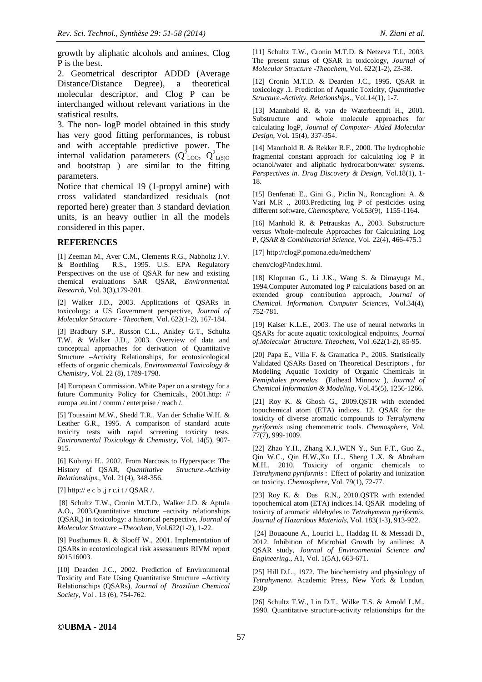growth by aliphatic alcohols and amines, Clog P is the best.

2. Geometrical descriptor ADDD (Average Distance/Distance Degree), a theoretical molecular descriptor, and Clog P can be interchanged without relevant variations in the statistical results.

3. The non- logP model obtained in this study has very good fitting performances, is robust and with acceptable predictive power. The internal validation parameters  $(Q_{\text{LOO}}^2, Q_{\text{L(5)O}}^2)$ and bootstrap ) are similar to the fitting parameters.

Notice that chemical 19 (1-propyl amine) with cross validated standardized residuals (not reported here) greater than 3 standard deviation units, is an heavy outlier in all the models considered in this paper.

#### **REFERENCES**

[1] Zeeman M., Aver C.M., Clements R.G., Nabholtz J.V. & Boethling R.S., 1995. U.S. EPA Regulatory Perspectives on the use of QSAR for new and existing chemical evaluations SAR QSAR, *Environmental. Research*, Vol. 3(3),179-201.

[2] Walker J.D., 2003. Applications of QSARs in toxicology: a US Government perspective, *Journal of Molecular Structure* - *Theochem*, Vol. 622(1-2), 167-184.

[3] Bradbury S.P., Russon C.L., Ankley G.T., Schultz T.W. & Walker J.D., 2003. Overview of data and conceptual approaches for derivation of Quantitative Structure –Activity Relationships, for ecotoxicological effects of organic chemicals, *Environmental Toxicology & Chemistry,* Vol. 22 (8), 1789-1798.

[4] European Commission. White Paper on a strategy for a future Community Policy for Chemicals., 2001.http: // europa .eu.int / comm / enterprise / reach /.

[5] Toussaint M.W., Shedd T.R., Van der Schalie W.H. & Leather G.R., 1995. A comparison of standard acute toxicity tests with rapid screening toxicity tests. *Environmental Toxicology & Chemistry,* Vol. 14(5), 907- 915.

[6] Kubinyi H., 2002. From Narcosis to Hyperspace: The History of QSAR, *Quantitative Structure.-Activity Relationships*., Vol. 21(4), 348-356.

[7] http:// e c b .j r c.i t / QSAR /.

 [8] Schultz T.W., Cronin M.T.D., Walker J.D. & Aptula A.O., 2003.Quantitative structure –activity relationships (QSAR<sup>s</sup> ) in toxicology: a historical perspective, *Journal of Molecular Structure –Theochem,* Vol.622(1-2), 1-22.

[9] Posthumus R. & Slooff W., 2001. Implementation of QSAR**s** in ecotoxicological risk assessments RIVM report 601516003.

[10] Dearden J.C., 2002. Prediction of Environmental Toxicity and Fate Using Quantitative Structure –Activity Relationschips (QSARs), *Journal of Brazilian Chemical Society,* Vol . 13 (6), 754-762.

[11] Schultz T.W., Cronin M.T.D. & Netzeva T.I., 2003. The present status of QSAR in toxicology, *Journal of Molecular Structure -Theochem*, Vol. 622(1-2), 23-38.

[12] Cronin M.T.D. & Dearden J.C., 1995. QSAR in toxicology .1. Prediction of Aquatic Toxicity, *Quantitative Structure.-Activity. Relationships*., Vol.14(1), 1-7.

[13] Mannhold R. & van de Waterbeemdt H., 2001. Substructure and whole molecule approaches for calculating logP, *Journal of Computer- Aided Molecular Design*, Vol. 15(4), 337-354.

[14] Mannhold R. & Rekker R.F., 2000. The hydrophobic fragmental constant approach for calculating log P in octanol/water and aliphatic hydrocarbon/water systems. *Perspectives in. Drug Discovery & Design,* Vol.18(1), 1- 18.

[15] Benfenati E., Gini G., Piclin N., Roncaglioni A. & Vari M.R ., 2003.Predicting log P of pesticides using different software, *Chemosphere*, Vol.53(9), 1155-1164.

[16] Manhold R. & Petrauskas A., 2003. Substructure versus Whole-molecule Approaches for Calculating Log P, *QSAR & Combinatorial Science*, Vol. 22(4), 466-475.1

[17] http://clogP.pomona.edu/medchem/

chem/clogP/index.html.

[18] Klopman G., Li J.K., Wang S. & Dimayuga M., 1994.Computer Automated log P calculations based on an extended group contribution approach, *Journal of Chemical. Information. Computer Sciences*, Vol.34(4), 752-781.

[19] Kaiser K.L.E., 2003. The use of neural networks in QSARs for acute aquatic toxicological endpoints, *Journal of.Molecular Structure. Theochem*, Vol .622(1-2), 85-95.

[20] Papa E., Villa F. & Gramatica P., 2005. Statistically Validated QSARs Based on Theoretical Descriptors , for Modeling Aquatic Toxicity of Organic Chemicals in *Pemiphales promelas* (Fathead Minnow ), *Journal of Chemical Information & Modeling*, Vol.45(5), 1256-1266.

[21] Roy K. & Ghosh G., 2009.QSTR with extended topochemical atom (ETA) indices. 12. QSAR for the toxicity of diverse aromatic compounds to *Tetrahymena pyriformis* using chemometric tools. *Chemosphere,* Vol. 77(7), 999-1009.

[22] Zhao Y.H., Zhang X.J.,WEN Y., Sun F.T., Guo Z., Qin W.C., Qin H.W.,Xu J.L., Sheng L.X. & Abraham M.H., 2010. Toxicity of organic chemicals to *Tetrahymena pyriformis* : Effect of polarity and ionization on toxicity. *Chemosphere*, Vol. 79(1), 72-77.

[23] Roy K. & Das R.N., 2010.QSTR with extended topochemical atom (ETA) indices.14. QSAR modeling of toxicity of aromatic aldehydes to *Tetrahymena pyriformis*. *Journal of Hazardous Materials*, Vol. 183(1-3), 913-922.

 [24] Bouaoune A., Lourici L., Haddag H. & Messadi D., 2012. Inhibition of Microbial Growth by anilines: A QSAR study, *Journal of Environmental Science and Engineering.,* A1, Vol. 1(5A), 663-671.

[25] Hill D.L., 1972. The biochemistry and physiology of *Tetrahymena*. Academic Press, New York & London, 230p

[26] Schultz T.W., Lin D.T., Wilke T.S. & Arnold L.M., 1990. Quantitative structure-activity relationships for the